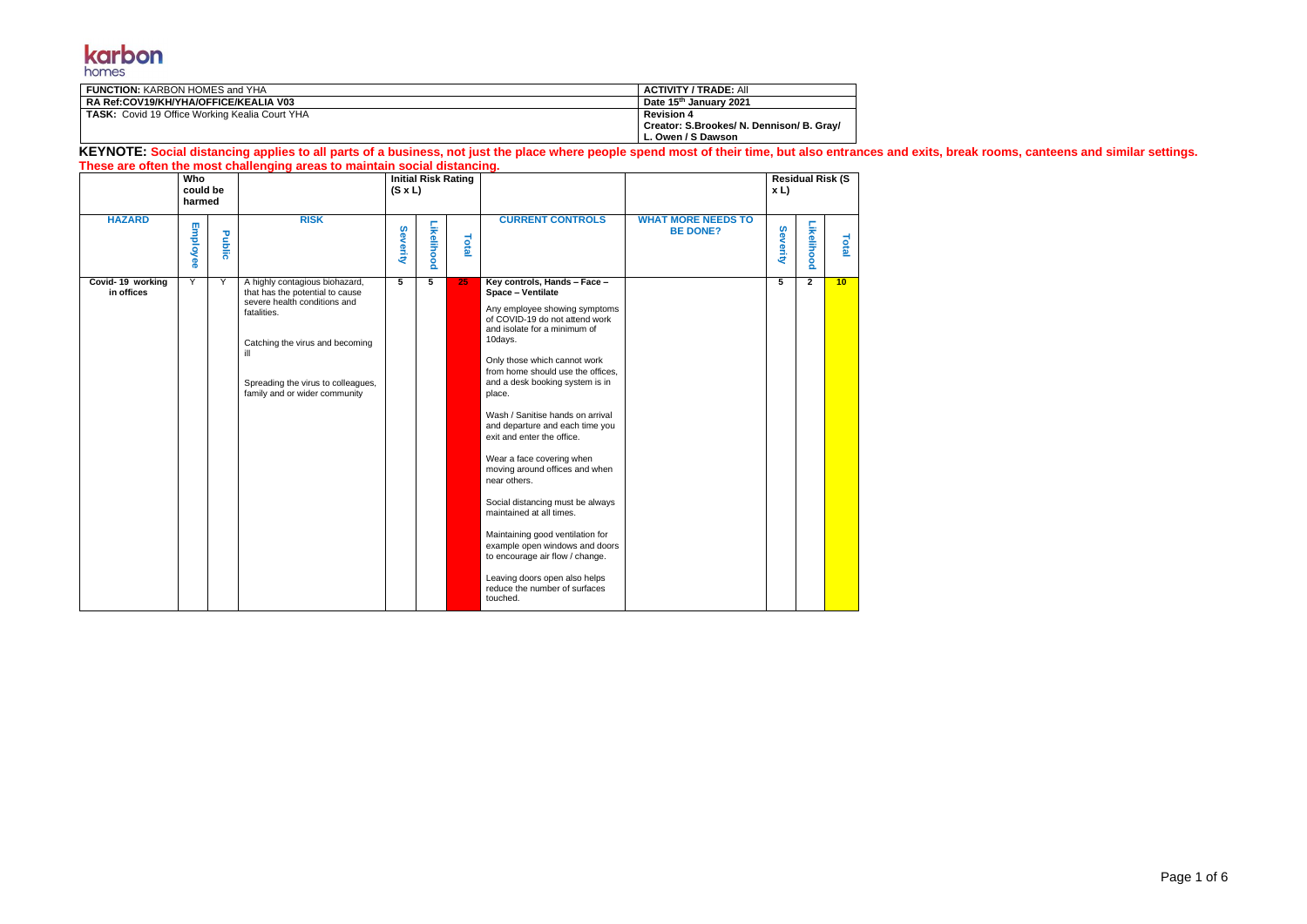

| <b>FUNCTION: KARBON HOMES and YHA</b>                 | <b>ACTIVITY / TRADE: All</b>              |
|-------------------------------------------------------|-------------------------------------------|
| RA Ref:COV19/KH/YHA/OFFICE/KEALIA V03                 | Date 15 <sup>th</sup> January 2021        |
| <b>TASK:</b> Covid 19 Office Working Kealia Court YHA | <b>Revision 4</b>                         |
|                                                       | Creator: S.Brookes/ N. Dennison/ B. Gray/ |
|                                                       | L. Owen / S Dawson                        |

**KEYNOTE: Social distancing applies to all parts of a business, not just the place where people spend most of their time, but also entrances and exits, break rooms, canteens and similar settings. These are often the most challenging areas to maintain social distancing.**

|                                | Who<br>could be<br>harmed |        |                                                                                                                                                                                                                            |          |            |                 | <b>Initial Risk Rating</b><br>$(S \times L)$                                                                                                                                                                                                                                                                                                                                                                                                                                                                                                                                                                                                                                                                                 |                                              |          |              | x L   | <b>Residual Risk (S</b> |  |
|--------------------------------|---------------------------|--------|----------------------------------------------------------------------------------------------------------------------------------------------------------------------------------------------------------------------------|----------|------------|-----------------|------------------------------------------------------------------------------------------------------------------------------------------------------------------------------------------------------------------------------------------------------------------------------------------------------------------------------------------------------------------------------------------------------------------------------------------------------------------------------------------------------------------------------------------------------------------------------------------------------------------------------------------------------------------------------------------------------------------------------|----------------------------------------------|----------|--------------|-------|-------------------------|--|
| <b>HAZARD</b>                  | Employee                  | Public | <b>RISK</b>                                                                                                                                                                                                                | Severity | Likelihood | Total           | <b>CURRENT CONTROLS</b>                                                                                                                                                                                                                                                                                                                                                                                                                                                                                                                                                                                                                                                                                                      | <b>WHAT MORE NEEDS TO</b><br><b>BE DONE?</b> | Severity | Likelihood   | Total |                         |  |
| Covid-19 working<br>in offices | Y                         | Y      | A highly contagious biohazard,<br>that has the potential to cause<br>severe health conditions and<br>fatalities.<br>Catching the virus and becoming<br>Spreading the virus to colleagues,<br>family and or wider community | 5        | 5          | 25 <sub>1</sub> | Key controls, Hands - Face -<br>Space - Ventilate<br>Any employee showing symptoms<br>of COVID-19 do not attend work<br>and isolate for a minimum of<br>10days.<br>Only those which cannot work<br>from home should use the offices,<br>and a desk booking system is in<br>place.<br>Wash / Sanitise hands on arrival<br>and departure and each time you<br>exit and enter the office.<br>Wear a face covering when<br>moving around offices and when<br>near others.<br>Social distancing must be always<br>maintained at all times.<br>Maintaining good ventilation for<br>example open windows and doors<br>to encourage air flow / change.<br>Leaving doors open also helps<br>reduce the number of surfaces<br>touched. |                                              | 5        | $\mathbf{2}$ | 10    |                         |  |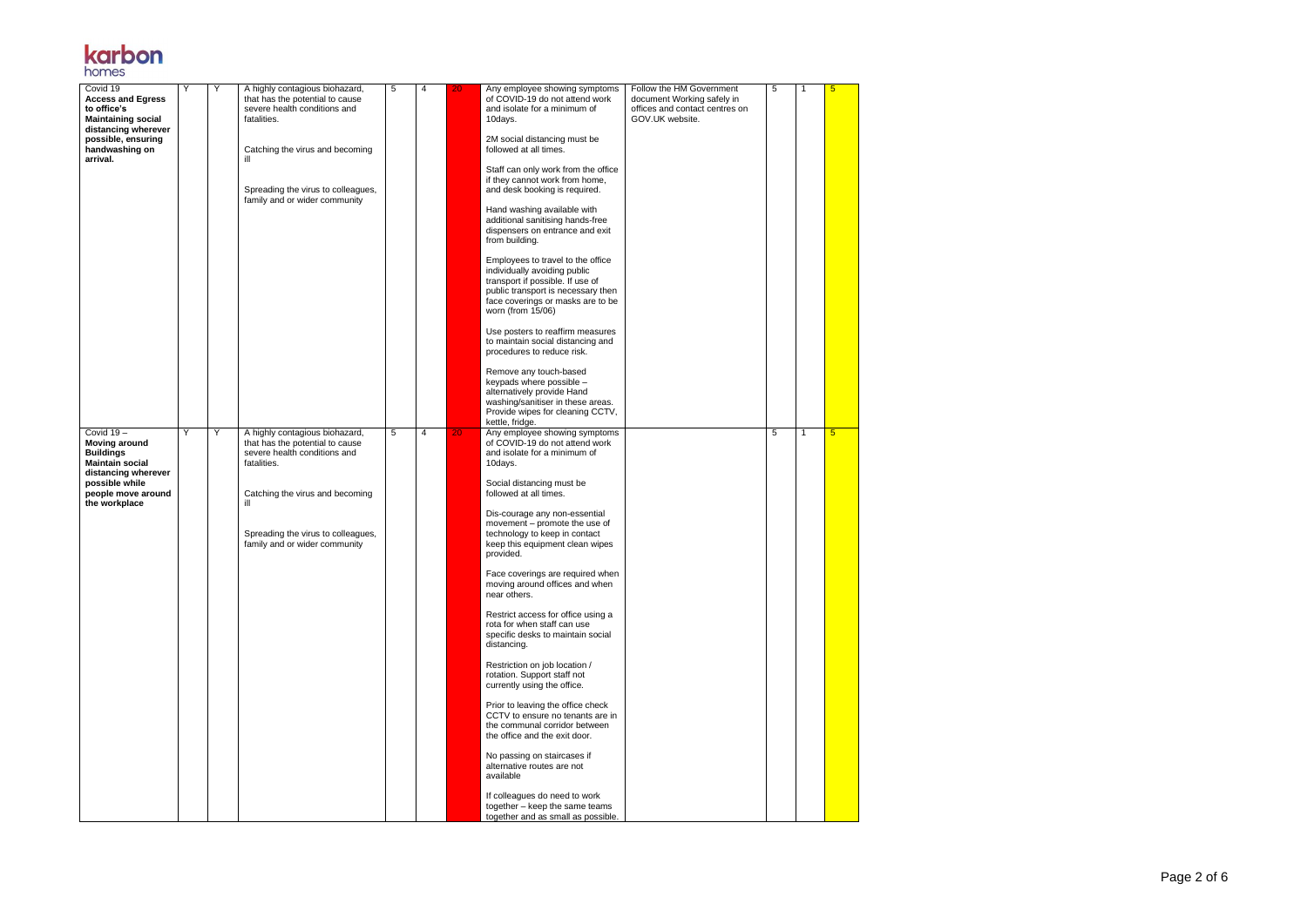Page 2 of 6

## **karbon**

| Covid 19<br><b>Access and Egress</b><br>to office's<br><b>Maintaining social</b><br>distancing wherever<br>possible, ensuring<br>handwashing on<br>arrival.        | Y | Y | A highly contagious biohazard,<br>that has the potential to cause<br>severe health conditions and<br>fatalities.<br>Catching the virus and becoming<br>ill<br>Spreading the virus to colleagues,<br>family and or wider community | 5 | 4 | 20 <sub>1</sub> | Any employee showing symptoms<br>of COVID-19 do not attend work<br>and isolate for a minimum of<br>10days.<br>2M social distancing must be<br>followed at all times.<br>Staff can only work from the office<br>if they cannot work from home,<br>and desk booking is required.<br>Hand washing available with<br>additional sanitising hands-free<br>dispensers on entrance and exit<br>from building.<br>Employees to travel to the office<br>individually avoiding public<br>transport if possible. If use of<br>public transport is necessary then<br>face coverings or masks are to be<br>worn (from 15/06)<br>Use posters to reaffirm measures<br>to maintain social distancing and<br>procedures to reduce risk.<br>Remove any touch-based<br>keypads where possible -<br>alternatively provide Hand<br>washing/sanitiser in these areas.                                                                                                                  | Follow the HM Government<br>document Working safely in<br>offices and contact centres on<br>GOV.UK website. | 5 | -1           | $5\phantom{.0}$ |
|--------------------------------------------------------------------------------------------------------------------------------------------------------------------|---|---|-----------------------------------------------------------------------------------------------------------------------------------------------------------------------------------------------------------------------------------|---|---|-----------------|------------------------------------------------------------------------------------------------------------------------------------------------------------------------------------------------------------------------------------------------------------------------------------------------------------------------------------------------------------------------------------------------------------------------------------------------------------------------------------------------------------------------------------------------------------------------------------------------------------------------------------------------------------------------------------------------------------------------------------------------------------------------------------------------------------------------------------------------------------------------------------------------------------------------------------------------------------------|-------------------------------------------------------------------------------------------------------------|---|--------------|-----------------|
|                                                                                                                                                                    |   |   |                                                                                                                                                                                                                                   |   |   |                 | Provide wipes for cleaning CCTV,<br>kettle, fridge.                                                                                                                                                                                                                                                                                                                                                                                                                                                                                                                                                                                                                                                                                                                                                                                                                                                                                                              |                                                                                                             |   |              |                 |
| Covid $19 -$<br><b>Moving around</b><br><b>Buildings</b><br><b>Maintain social</b><br>distancing wherever<br>possible while<br>people move around<br>the workplace | Y | Υ | A highly contagious biohazard,<br>that has the potential to cause<br>severe health conditions and<br>fatalities.<br>Catching the virus and becoming<br>ill<br>Spreading the virus to colleagues,<br>family and or wider community | 5 | 4 | 20              | Any employee showing symptoms<br>of COVID-19 do not attend work<br>and isolate for a minimum of<br>10days.<br>Social distancing must be<br>followed at all times.<br>Dis-courage any non-essential<br>movement - promote the use of<br>technology to keep in contact<br>keep this equipment clean wipes<br>provided.<br>Face coverings are required when<br>moving around offices and when<br>near others.<br>Restrict access for office using a<br>rota for when staff can use<br>specific desks to maintain social<br>distancing.<br>Restriction on job location /<br>rotation. Support staff not<br>currently using the office.<br>Prior to leaving the office check<br>CCTV to ensure no tenants are in<br>the communal corridor between<br>the office and the exit door.<br>No passing on staircases if<br>alternative routes are not<br>available<br>If colleagues do need to work<br>together - keep the same teams<br>together and as small as possible. |                                                                                                             | 5 | $\mathbf{1}$ | $5\overline{)}$ |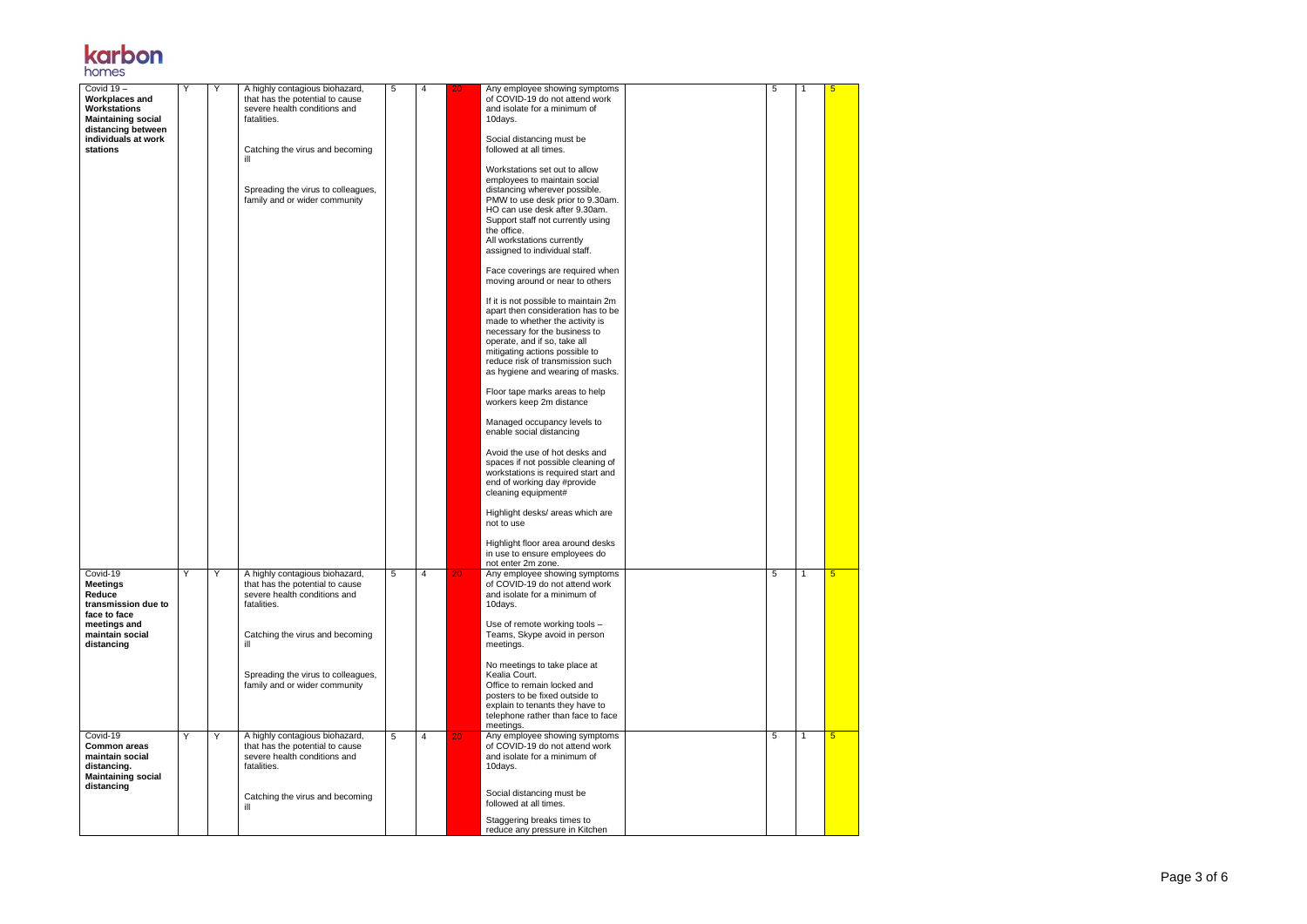Page 3 of 6

## **karbon**

| Covid $19 -$<br><b>Workplaces and</b><br>Workstations<br><b>Maintaining social</b><br>distancing between<br>individuals at work<br><b>stations</b> | Υ      | Υ | A highly contagious biohazard,<br>that has the potential to cause<br>severe health conditions and<br>fatalities.<br>Catching the virus and becoming<br>ill<br>Spreading the virus to colleagues,<br>family and or wider community | 5 | 4              | 20 | Any employee showing symptoms<br>of COVID-19 do not attend work<br>and isolate for a minimum of<br>10days.<br>Social distancing must be<br>followed at all times.<br>Workstations set out to allow<br>employees to maintain social<br>distancing wherever possible.<br>PMW to use desk prior to 9.30am.<br>HO can use desk after 9.30am.<br>Support staff not currently using<br>the office.<br>All workstations currently<br>assigned to individual staff.<br>Face coverings are required when<br>moving around or near to others<br>If it is not possible to maintain 2m<br>apart then consideration has to be<br>made to whether the activity is<br>necessary for the business to<br>operate, and if so, take all<br>mitigating actions possible to<br>reduce risk of transmission such<br>as hygiene and wearing of masks.<br>Floor tape marks areas to help<br>workers keep 2m distance<br>Managed occupancy levels to<br>enable social distancing<br>Avoid the use of hot desks and<br>spaces if not possible cleaning of<br>workstations is required start and<br>end of working day #provide<br>cleaning equipment# | 5 |              | $5\phantom{.0}$ |
|----------------------------------------------------------------------------------------------------------------------------------------------------|--------|---|-----------------------------------------------------------------------------------------------------------------------------------------------------------------------------------------------------------------------------------|---|----------------|----|-----------------------------------------------------------------------------------------------------------------------------------------------------------------------------------------------------------------------------------------------------------------------------------------------------------------------------------------------------------------------------------------------------------------------------------------------------------------------------------------------------------------------------------------------------------------------------------------------------------------------------------------------------------------------------------------------------------------------------------------------------------------------------------------------------------------------------------------------------------------------------------------------------------------------------------------------------------------------------------------------------------------------------------------------------------------------------------------------------------------------------|---|--------------|-----------------|
|                                                                                                                                                    |        |   |                                                                                                                                                                                                                                   |   |                |    | Highlight floor area around desks<br>in use to ensure employees do<br>not enter 2m zone.                                                                                                                                                                                                                                                                                                                                                                                                                                                                                                                                                                                                                                                                                                                                                                                                                                                                                                                                                                                                                                    |   |              |                 |
| Covid-19<br><b>Meetings</b><br>Reduce<br>transmission due to<br>face to face<br>meetings and<br>maintain social<br>distancing                      | $\vee$ | Y | A highly contagious biohazard,<br>that has the potential to cause<br>severe health conditions and<br>fatalities.<br>Catching the virus and becoming<br>ill<br>Spreading the virus to colleagues,<br>family and or wider community |   |                | ZU | Any employee showing symptoms<br>of COVID-19 do not attend work<br>and isolate for a minimum of<br>10days.<br>Use of remote working tools -<br>Teams, Skype avoid in person<br>meetings.<br>No meetings to take place at<br>Kealia Court.<br>Office to remain locked and<br>posters to be fixed outside to<br>explain to tenants they have to<br>telephone rather than face to face<br>meetings.                                                                                                                                                                                                                                                                                                                                                                                                                                                                                                                                                                                                                                                                                                                            | 5 | $\mathbf{1}$ |                 |
| Covid-19<br><b>Common areas</b><br>maintain social<br>distancing.<br><b>Maintaining social</b><br>distancing                                       | Υ      | Y | A highly contagious biohazard,<br>that has the potential to cause<br>severe health conditions and<br>fatalities.<br>Catching the virus and becoming<br>ill                                                                        | 5 | $\overline{4}$ | 20 | Any employee showing symptoms<br>of COVID-19 do not attend work<br>and isolate for a minimum of<br>10days.<br>Social distancing must be<br>followed at all times.<br>Staggering breaks times to<br>reduce any pressure in Kitchen                                                                                                                                                                                                                                                                                                                                                                                                                                                                                                                                                                                                                                                                                                                                                                                                                                                                                           | 5 | $\mathbf{1}$ | 5 <sub>5</sub>  |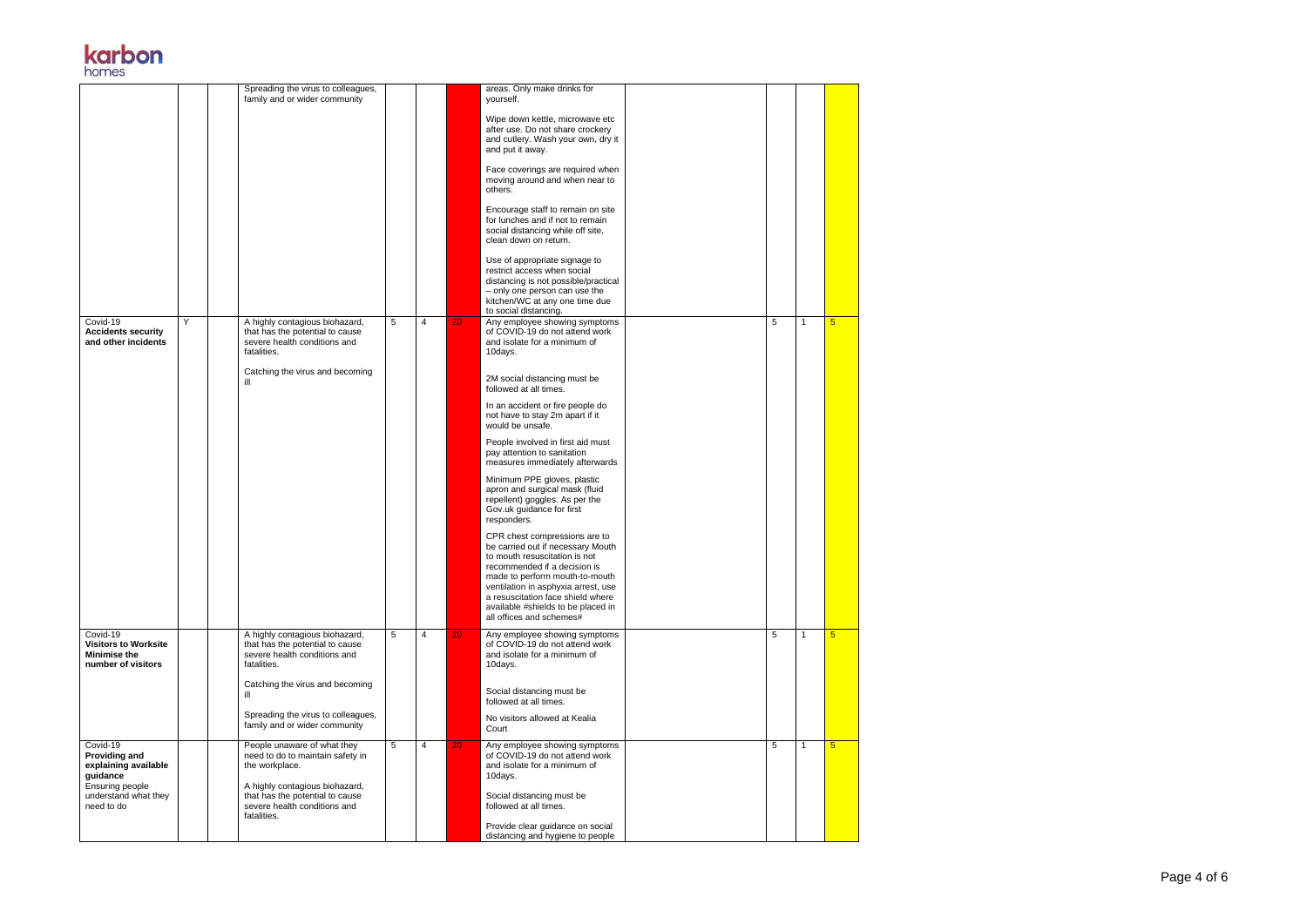Page 4 of 6



|                                                                                                                        |   | Spreading the virus to colleagues,<br>family and or wider community                                                                                                                                                              |   |                |                 | areas. Only make drinks for<br>yourself.<br>Wipe down kettle, microwave etc<br>after use. Do not share crockery<br>and cutlery. Wash your own, dry it<br>and put it away.<br>Face coverings are required when<br>moving around and when near to<br>others.<br>Encourage staff to remain on site<br>for lunches and if not to remain<br>social distancing while off site,<br>clean down on return.<br>Use of appropriate signage to<br>restrict access when social<br>distancing is not possible/practical<br>- only one person can use the<br>kitchen/WC at any one time due<br>to social distancing.                                                                                                                                                                                                                                        |   |              |                |
|------------------------------------------------------------------------------------------------------------------------|---|----------------------------------------------------------------------------------------------------------------------------------------------------------------------------------------------------------------------------------|---|----------------|-----------------|----------------------------------------------------------------------------------------------------------------------------------------------------------------------------------------------------------------------------------------------------------------------------------------------------------------------------------------------------------------------------------------------------------------------------------------------------------------------------------------------------------------------------------------------------------------------------------------------------------------------------------------------------------------------------------------------------------------------------------------------------------------------------------------------------------------------------------------------|---|--------------|----------------|
| Covid-19<br><b>Accidents security</b><br>and other incidents                                                           | Y | A highly contagious biohazard,<br>that has the potential to cause<br>severe health conditions and<br>fatalities.<br>Catching the virus and becoming<br>ill                                                                       | 5 | $\overline{4}$ | 20              | Any employee showing symptoms<br>of COVID-19 do not attend work<br>and isolate for a minimum of<br>10days.<br>2M social distancing must be<br>followed at all times.<br>In an accident or fire people do<br>not have to stay 2m apart if it<br>would be unsafe.<br>People involved in first aid must<br>pay attention to sanitation<br>measures immediately afterwards<br>Minimum PPE gloves, plastic<br>apron and surgical mask (fluid<br>repellent) goggles. As per the<br>Gov.uk guidance for first<br>responders.<br>CPR chest compressions are to<br>be carried out if necessary Mouth<br>to mouth resuscitation is not<br>recommended if a decision is<br>made to perform mouth-to-mouth<br>ventilation in asphyxia arrest, use<br>a resuscitation face shield where<br>available #shields to be placed in<br>all offices and schemes# | 5 | -1           | 5 <sup>5</sup> |
| Covid-19<br><b>Visitors to Worksite</b><br><b>Minimise the</b><br>number of visitors                                   |   | A highly contagious biohazard,<br>that has the potential to cause<br>severe health conditions and<br>fatalities.<br>Catching the virus and becoming<br>iШ<br>Spreading the virus to colleagues,<br>family and or wider community | 5 | $\overline{4}$ | 20 <sub>1</sub> | Any employee showing symptoms<br>of COVID-19 do not attend work<br>and isolate for a minimum of<br>10days.<br>Social distancing must be<br>followed at all times.<br>No visitors allowed at Kealia<br>Court                                                                                                                                                                                                                                                                                                                                                                                                                                                                                                                                                                                                                                  | 5 | $\mathbf{1}$ | 5 <sup>1</sup> |
| Covid-19<br>Providing and<br>explaining available<br>guidance<br>Ensuring people<br>understand what they<br>need to do |   | People unaware of what they<br>need to do to maintain safety in<br>the workplace.<br>A highly contagious biohazard,<br>that has the potential to cause<br>severe health conditions and<br>fatalities.                            | 5 | $\overline{4}$ | 20 <sub>1</sub> | Any employee showing symptoms<br>of COVID-19 do not attend work<br>and isolate for a minimum of<br>10days.<br>Social distancing must be<br>followed at all times.<br>Provide clear guidance on social<br>distancing and hygiene to people                                                                                                                                                                                                                                                                                                                                                                                                                                                                                                                                                                                                    | 5 | -1           | 5 <sup>5</sup> |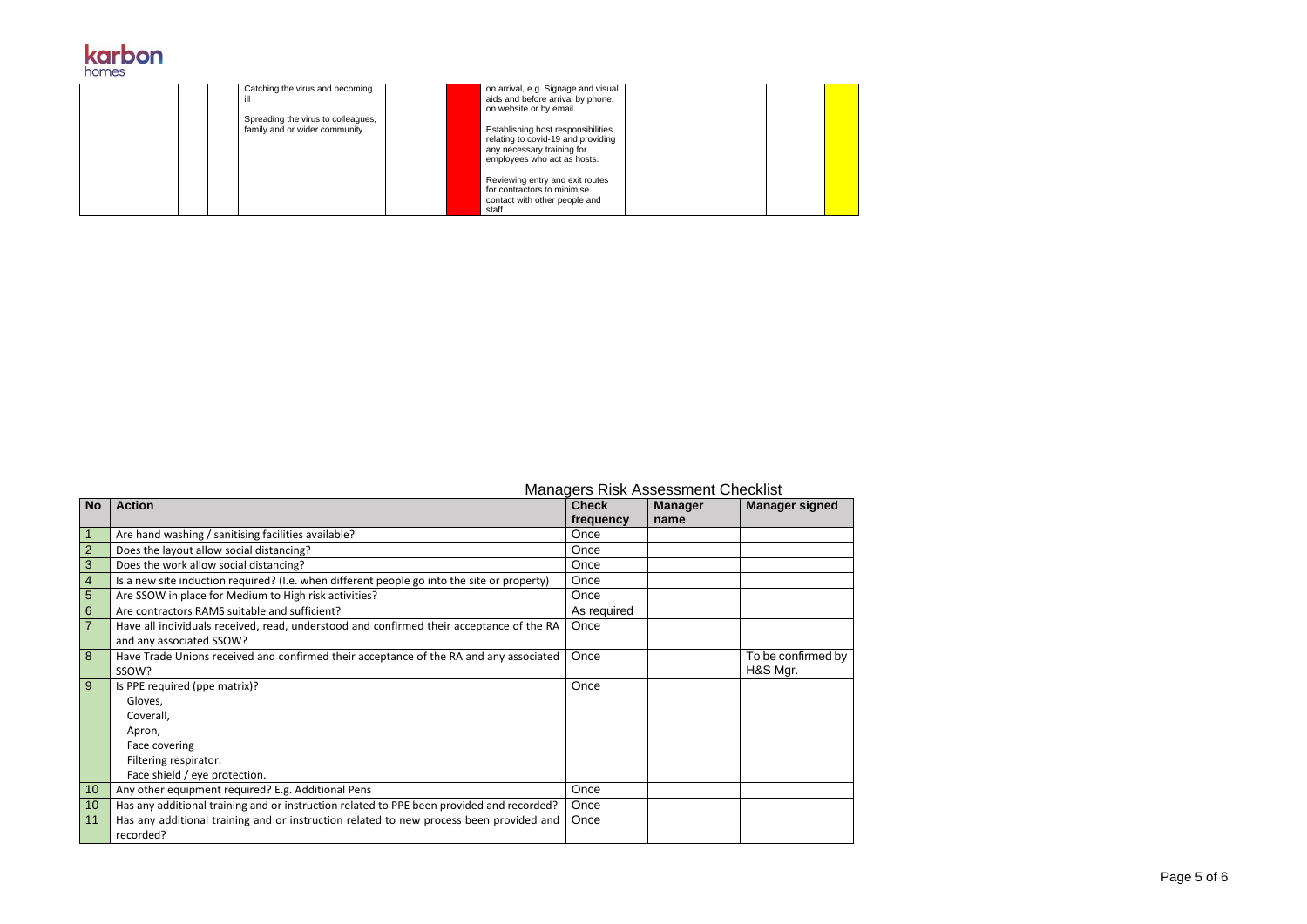Page 5 of 6



| Catching the virus and becoming                                     | on arrival, e.g. Signage and visual<br>aids and before arrival by phone,<br>on website or by email.                                   |
|---------------------------------------------------------------------|---------------------------------------------------------------------------------------------------------------------------------------|
| Spreading the virus to colleagues,<br>family and or wider community | Establishing host responsibilities<br>relating to covid-19 and providing<br>any necessary training for<br>employees who act as hosts. |
|                                                                     | Reviewing entry and exit routes<br>for contractors to minimise<br>contact with other people and<br>staff.                             |

| <b>Managers Risk Assessment Checklist</b> |  |
|-------------------------------------------|--|
|                                           |  |

| <b>No</b>      | <b>Action</b>                                                                               | <b>Check</b> | <b>Manager</b> | <b>Manager signed</b> |
|----------------|---------------------------------------------------------------------------------------------|--------------|----------------|-----------------------|
|                |                                                                                             | frequency    | name           |                       |
|                | Are hand washing / sanitising facilities available?                                         | Once         |                |                       |
| $\overline{2}$ | Does the layout allow social distancing?                                                    | Once         |                |                       |
| $\mathfrak{S}$ | Does the work allow social distancing?                                                      | Once         |                |                       |
| $\overline{4}$ | Is a new site induction required? (I.e. when different people go into the site or property) | Once         |                |                       |
| 5              | Are SSOW in place for Medium to High risk activities?                                       | Once         |                |                       |
| $6\phantom{1}$ | Are contractors RAMS suitable and sufficient?                                               | As required  |                |                       |
| $\overline{7}$ | Have all individuals received, read, understood and confirmed their acceptance of the RA    | Once         |                |                       |
|                | and any associated SSOW?                                                                    |              |                |                       |
| 8              | Have Trade Unions received and confirmed their acceptance of the RA and any associated      | Once         |                | To be confirmed by    |
|                | SSOW?                                                                                       |              |                | H&S Mgr.              |
| 9              | Is PPE required (ppe matrix)?                                                               | Once         |                |                       |
|                | Gloves,                                                                                     |              |                |                       |
|                | Coverall,                                                                                   |              |                |                       |
|                | Apron,                                                                                      |              |                |                       |
|                | Face covering                                                                               |              |                |                       |
|                | Filtering respirator.                                                                       |              |                |                       |
|                | Face shield / eye protection.                                                               |              |                |                       |
| 10             | Any other equipment required? E.g. Additional Pens                                          | Once         |                |                       |
| 10             | Has any additional training and or instruction related to PPE been provided and recorded?   | Once         |                |                       |
| 11             | Has any additional training and or instruction related to new process been provided and     | Once         |                |                       |
|                | recorded?                                                                                   |              |                |                       |